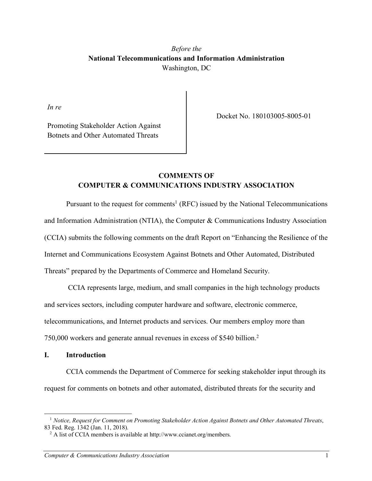# *Before the* **National Telecommunications and Information Administration** Washington, DC

*In re*

Docket No. 180103005-8005-01

Promoting Stakeholder Action Against Botnets and Other Automated Threats

# **COMMENTS OF COMPUTER & COMMUNICATIONS INDUSTRY ASSOCIATION**

Pursuant to the request for comments<sup>1</sup> (RFC) issued by the National Telecommunications and Information Administration (NTIA), the Computer & Communications Industry Association (CCIA) submits the following comments on the draft Report on "Enhancing the Resilience of the Internet and Communications Ecosystem Against Botnets and Other Automated, Distributed Threats" prepared by the Departments of Commerce and Homeland Security.

CCIA represents large, medium, and small companies in the high technology products and services sectors, including computer hardware and software, electronic commerce, telecommunications, and Internet products and services. Our members employ more than 750,000 workers and generate annual revenues in excess of \$540 billion. 2

## **I. Introduction**

1

CCIA commends the Department of Commerce for seeking stakeholder input through its request for comments on botnets and other automated, distributed threats for the security and

<sup>1</sup> *Notice, Request for Comment on Promoting Stakeholder Action Against Botnets and Other Automated Threats*, 83 Fed. Reg. 1342 (Jan. 11, 2018).

<sup>&</sup>lt;sup>2</sup> A list of CCIA members is available at http://www.ccianet.org/members.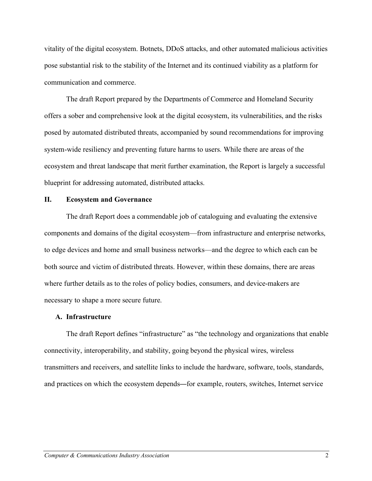vitality of the digital ecosystem. Botnets, DDoS attacks, and other automated malicious activities pose substantial risk to the stability of the Internet and its continued viability as a platform for communication and commerce.

The draft Report prepared by the Departments of Commerce and Homeland Security offers a sober and comprehensive look at the digital ecosystem, its vulnerabilities, and the risks posed by automated distributed threats, accompanied by sound recommendations for improving system-wide resiliency and preventing future harms to users. While there are areas of the ecosystem and threat landscape that merit further examination, the Report is largely a successful blueprint for addressing automated, distributed attacks.

### **II. Ecosystem and Governance**

The draft Report does a commendable job of cataloguing and evaluating the extensive components and domains of the digital ecosystem—from infrastructure and enterprise networks, to edge devices and home and small business networks—and the degree to which each can be both source and victim of distributed threats. However, within these domains, there are areas where further details as to the roles of policy bodies, consumers, and device-makers are necessary to shape a more secure future.

#### **A. Infrastructure**

The draft Report defines "infrastructure" as "the technology and organizations that enable connectivity, interoperability, and stability, going beyond the physical wires, wireless transmitters and receivers, and satellite links to include the hardware, software, tools, standards, and practices on which the ecosystem depends—for example, routers, switches, Internet service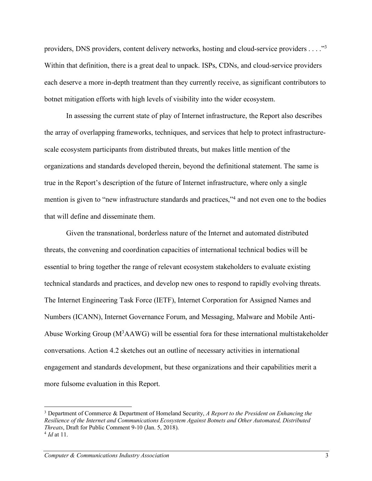providers, DNS providers, content delivery networks, hosting and cloud-service providers . . . ."3 Within that definition, there is a great deal to unpack. ISPs, CDNs, and cloud-service providers each deserve a more in-depth treatment than they currently receive, as significant contributors to botnet mitigation efforts with high levels of visibility into the wider ecosystem.

In assessing the current state of play of Internet infrastructure, the Report also describes the array of overlapping frameworks, techniques, and services that help to protect infrastructurescale ecosystem participants from distributed threats, but makes little mention of the organizations and standards developed therein, beyond the definitional statement. The same is true in the Report's description of the future of Internet infrastructure, where only a single mention is given to "new infrastructure standards and practices,"4 and not even one to the bodies that will define and disseminate them.

Given the transnational, borderless nature of the Internet and automated distributed threats, the convening and coordination capacities of international technical bodies will be essential to bring together the range of relevant ecosystem stakeholders to evaluate existing technical standards and practices, and develop new ones to respond to rapidly evolving threats. The Internet Engineering Task Force (IETF), Internet Corporation for Assigned Names and Numbers (ICANN), Internet Governance Forum, and Messaging, Malware and Mobile Anti-Abuse Working Group ( $M<sup>3</sup>AAWG$ ) will be essential fora for these international multistakeholder conversations. Action 4.2 sketches out an outline of necessary activities in international engagement and standards development, but these organizations and their capabilities merit a more fulsome evaluation in this Report.

1

<sup>3</sup> Department of Commerce & Department of Homeland Security, *A Report to the President on Enhancing the Resilience of the Internet and Communications Ecosystem Against Botnets and Other Automated, Distributed Threats*, Draft for Public Comment 9-10 (Jan. 5, 2018). <sup>4</sup> *Id* at 11.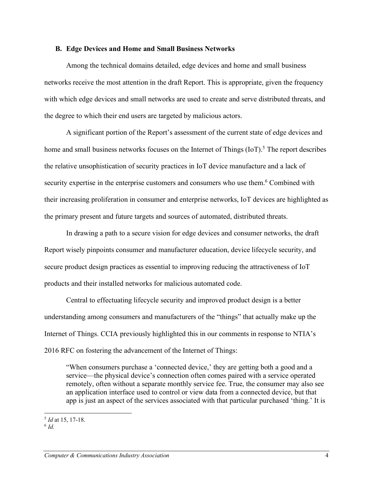#### **B. Edge Devices and Home and Small Business Networks**

Among the technical domains detailed, edge devices and home and small business networks receive the most attention in the draft Report. This is appropriate, given the frequency with which edge devices and small networks are used to create and serve distributed threats, and the degree to which their end users are targeted by malicious actors.

A significant portion of the Report's assessment of the current state of edge devices and home and small business networks focuses on the Internet of Things  $(IoT)$ .<sup>5</sup> The report describes the relative unsophistication of security practices in IoT device manufacture and a lack of security expertise in the enterprise customers and consumers who use them.<sup>6</sup> Combined with their increasing proliferation in consumer and enterprise networks, IoT devices are highlighted as the primary present and future targets and sources of automated, distributed threats.

In drawing a path to a secure vision for edge devices and consumer networks, the draft Report wisely pinpoints consumer and manufacturer education, device lifecycle security, and secure product design practices as essential to improving reducing the attractiveness of IoT products and their installed networks for malicious automated code.

Central to effectuating lifecycle security and improved product design is a better understanding among consumers and manufacturers of the "things" that actually make up the Internet of Things. CCIA previously highlighted this in our comments in response to NTIA's 2016 RFC on fostering the advancement of the Internet of Things:

"When consumers purchase a 'connected device,' they are getting both a good and a service—the physical device's connection often comes paired with a service operated remotely, often without a separate monthly service fee. True, the consumer may also see an application interface used to control or view data from a connected device, but that app is just an aspect of the services associated with that particular purchased 'thing.' It is

<sup>-</sup><sup>5</sup> *Id* at 15, 17-18.

<sup>6</sup> *Id.*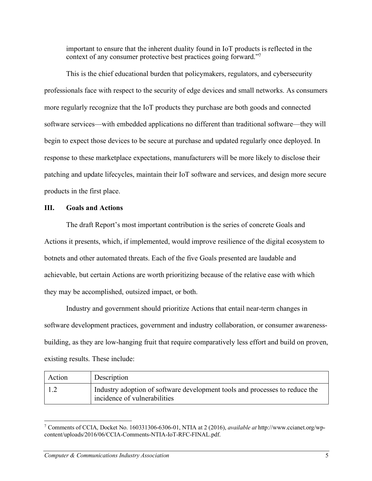important to ensure that the inherent duality found in IoT products is reflected in the context of any consumer protective best practices going forward."7

This is the chief educational burden that policymakers, regulators, and cybersecurity professionals face with respect to the security of edge devices and small networks. As consumers more regularly recognize that the IoT products they purchase are both goods and connected software services—with embedded applications no different than traditional software—they will begin to expect those devices to be secure at purchase and updated regularly once deployed. In response to these marketplace expectations, manufacturers will be more likely to disclose their patching and update lifecycles, maintain their IoT software and services, and design more secure products in the first place.

## **III. Goals and Actions**

The draft Report's most important contribution is the series of concrete Goals and Actions it presents, which, if implemented, would improve resilience of the digital ecosystem to botnets and other automated threats. Each of the five Goals presented are laudable and achievable, but certain Actions are worth prioritizing because of the relative ease with which they may be accomplished, outsized impact, or both.

Industry and government should prioritize Actions that entail near-term changes in software development practices, government and industry collaboration, or consumer awarenessbuilding, as they are low-hanging fruit that require comparatively less effort and build on proven, existing results. These include:

| Action | <b>Description</b>                                                                                          |
|--------|-------------------------------------------------------------------------------------------------------------|
|        | Industry adoption of software development tools and processes to reduce the<br>incidence of vulnerabilities |

<sup>7</sup> Comments of CCIA, Docket No. 160331306-6306-01, NTIA at 2 (2016), *available at* http://www.ccianet.org/wpcontent/uploads/2016/06/CCIA-Comments-NTIA-IoT-RFC-FINAL.pdf.

-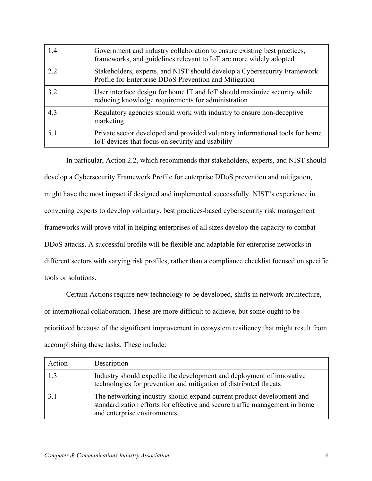| 1.4 | Government and industry collaboration to ensure existing best practices,<br>frameworks, and guidelines relevant to IoT are more widely adopted |
|-----|------------------------------------------------------------------------------------------------------------------------------------------------|
| 2.2 | Stakeholders, experts, and NIST should develop a Cybersecurity Framework<br>Profile for Enterprise DDoS Prevention and Mitigation              |
| 3.2 | User interface design for home IT and IoT should maximize security while<br>reducing knowledge requirements for administration                 |
| 4.3 | Regulatory agencies should work with industry to ensure non-deceptive<br>marketing                                                             |
| 5.1 | Private sector developed and provided voluntary informational tools for home<br>IoT devices that focus on security and usability               |

In particular, Action 2.2, which recommends that stakeholders, experts, and NIST should develop a Cybersecurity Framework Profile for enterprise DDoS prevention and mitigation, might have the most impact if designed and implemented successfully. NIST's experience in convening experts to develop voluntary, best practices-based cybersecurity risk management frameworks will prove vital in helping enterprises of all sizes develop the capacity to combat DDoS attacks. A successful profile will be flexible and adaptable for enterprise networks in different sectors with varying risk profiles, rather than a compliance checklist focused on specific tools or solutions.

Certain Actions require new technology to be developed, shifts in network architecture, or international collaboration. These are more difficult to achieve, but some ought to be prioritized because of the significant improvement in ecosystem resiliency that might result from accomplishing these tasks. These include:

| Action | Description                                                                                                                                                                         |
|--------|-------------------------------------------------------------------------------------------------------------------------------------------------------------------------------------|
| 1.3    | Industry should expedite the development and deployment of innovative<br>technologies for prevention and mitigation of distributed threats                                          |
| 31     | The networking industry should expand current product development and<br>standardization efforts for effective and secure traffic management in home<br>and enterprise environments |